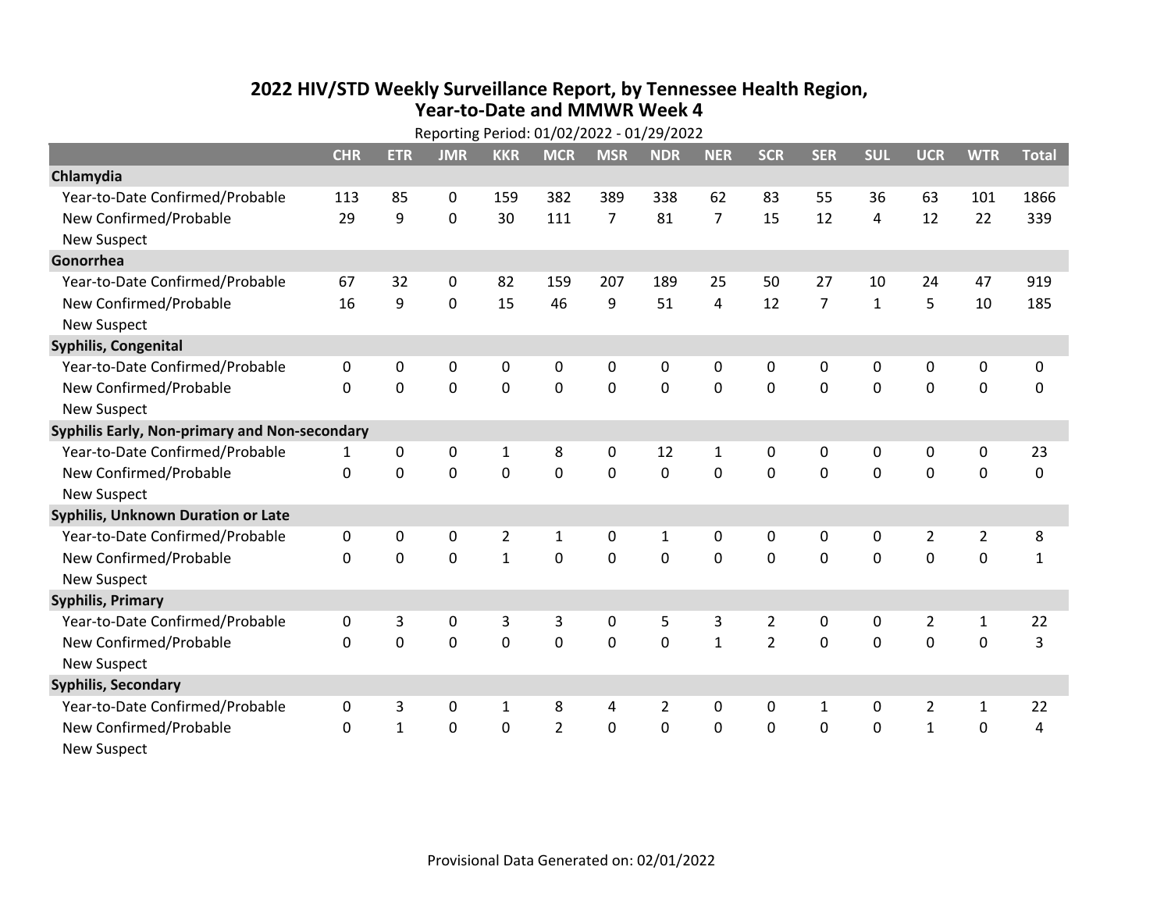## **2022 HIV /STD Weekly Surveillance Report, by Tennessee Health Region, Year‐to‐Date and MMWR Week 4** Reporting Period: 01/02/2022 ‐ 01/29/2022

| Reporting Period: 01/02/2022 - 01/29/2022     |            |              |                |                |                |                |                |                |                |                |              |                |                |              |
|-----------------------------------------------|------------|--------------|----------------|----------------|----------------|----------------|----------------|----------------|----------------|----------------|--------------|----------------|----------------|--------------|
|                                               | <b>CHR</b> | <b>ETR</b>   | <b>JMR</b>     | <b>KKR</b>     | <b>MCR</b>     | <b>MSR</b>     | <b>NDR</b>     | <b>NER</b>     | <b>SCR</b>     | <b>SER</b>     | <b>SUL</b>   | <b>UCR</b>     | <b>WTR</b>     | <b>Total</b> |
| Chlamydia                                     |            |              |                |                |                |                |                |                |                |                |              |                |                |              |
| Year-to-Date Confirmed/Probable               | 113        | 85           | 0              | 159            | 382            | 389            | 338            | 62             | 83             | 55             | 36           | 63             | 101            | 1866         |
| New Confirmed/Probable                        | 29         | 9            | 0              | 30             | 111            | $\overline{7}$ | 81             | $\overline{7}$ | 15             | 12             | 4            | 12             | 22             | 339          |
| <b>New Suspect</b>                            |            |              |                |                |                |                |                |                |                |                |              |                |                |              |
| Gonorrhea                                     |            |              |                |                |                |                |                |                |                |                |              |                |                |              |
| Year-to-Date Confirmed/Probable               | 67         | 32           | 0              | 82             | 159            | 207            | 189            | 25             | 50             | 27             | 10           | 24             | 47             | 919          |
| New Confirmed/Probable                        | 16         | 9            | 0              | 15             | 46             | 9              | 51             | 4              | 12             | $\overline{7}$ | $\mathbf{1}$ | 5              | 10             | 185          |
| <b>New Suspect</b>                            |            |              |                |                |                |                |                |                |                |                |              |                |                |              |
| <b>Syphilis, Congenital</b>                   |            |              |                |                |                |                |                |                |                |                |              |                |                |              |
| Year-to-Date Confirmed/Probable               | $\Omega$   | 0            | 0              | 0              | 0              | 0              | 0              | 0              | 0              | 0              | 0            | 0              | 0              | 0            |
| New Confirmed/Probable                        | $\Omega$   | 0            | $\mathbf 0$    | 0              | 0              | $\mathbf 0$    | 0              | 0              | 0              | 0              | $\mathbf 0$  | 0              | $\mathbf 0$    | 0            |
| <b>New Suspect</b>                            |            |              |                |                |                |                |                |                |                |                |              |                |                |              |
| Syphilis Early, Non-primary and Non-secondary |            |              |                |                |                |                |                |                |                |                |              |                |                |              |
| Year-to-Date Confirmed/Probable               | 1          | 0            | 0              | 1              | 8              | 0              | 12             | $\mathbf{1}$   | $\mathbf{0}$   | 0              | 0            | 0              | 0              | 23           |
| New Confirmed/Probable                        | $\Omega$   | 0            | $\overline{0}$ | $\mathbf 0$    | $\mathbf 0$    | 0              | 0              | $\Omega$       | $\Omega$       | $\mathbf 0$    | $\mathbf 0$  | $\mathbf 0$    | $\mathbf 0$    | $\pmb{0}$    |
| <b>New Suspect</b>                            |            |              |                |                |                |                |                |                |                |                |              |                |                |              |
| <b>Syphilis, Unknown Duration or Late</b>     |            |              |                |                |                |                |                |                |                |                |              |                |                |              |
| Year-to-Date Confirmed/Probable               | 0          | 0            | 0              | $\overline{2}$ | 1              | 0              | 1              | $\Omega$       | $\mathbf{0}$   | $\Omega$       | $\mathbf{0}$ | $\overline{2}$ | $\overline{2}$ | 8            |
| New Confirmed/Probable                        | 0          | $\mathbf 0$  | $\overline{0}$ | $\mathbf{1}$   | $\mathbf 0$    | $\overline{0}$ | $\overline{0}$ | $\Omega$       | $\Omega$       | $\mathbf 0$    | $\Omega$     | $\mathbf 0$    | $\mathbf 0$    | $\mathbf 1$  |
| <b>New Suspect</b>                            |            |              |                |                |                |                |                |                |                |                |              |                |                |              |
| <b>Syphilis, Primary</b>                      |            |              |                |                |                |                |                |                |                |                |              |                |                |              |
| Year-to-Date Confirmed/Probable               | 0          | 3            | 0              | 3              | 3              | 0              | 5              | 3              | $\overline{2}$ | 0              | 0            | $\overline{2}$ | $\mathbf{1}$   | 22           |
| New Confirmed/Probable                        | 0          | $\mathbf 0$  | $\overline{0}$ | $\mathbf 0$    | $\mathbf 0$    | $\mathbf 0$    | $\Omega$       | $\mathbf{1}$   | $\overline{2}$ | $\mathbf 0$    | $\mathbf 0$  | $\overline{0}$ | $\mathbf 0$    | 3            |
| <b>New Suspect</b>                            |            |              |                |                |                |                |                |                |                |                |              |                |                |              |
| <b>Syphilis, Secondary</b>                    |            |              |                |                |                |                |                |                |                |                |              |                |                |              |
| Year-to-Date Confirmed/Probable               | 0          | 3            | 0              | 1              | 8              | 4              | 2              | $\Omega$       | 0              | 1              | 0            | $\overline{2}$ | $\mathbf{1}$   | 22           |
| New Confirmed/Probable                        | 0          | $\mathbf{1}$ | $\mathbf 0$    | 0              | $\overline{2}$ | 0              | 0              | 0              | $\mathbf 0$    | 0              | $\mathbf 0$  | $\mathbf{1}$   | $\mathbf 0$    | 4            |
| <b>New Suspect</b>                            |            |              |                |                |                |                |                |                |                |                |              |                |                |              |